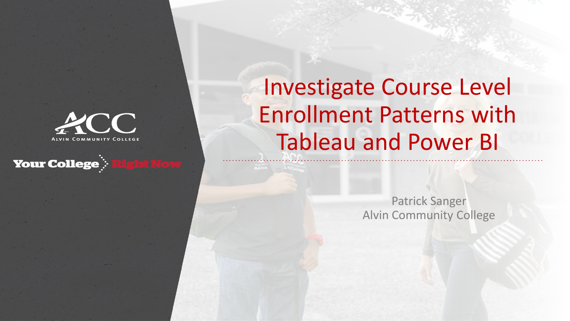

### **Your College : Right Now**

# Investigate Course Level Enrollment Patterns with Tableau and Power BI

Patrick Sanger Alvin Community College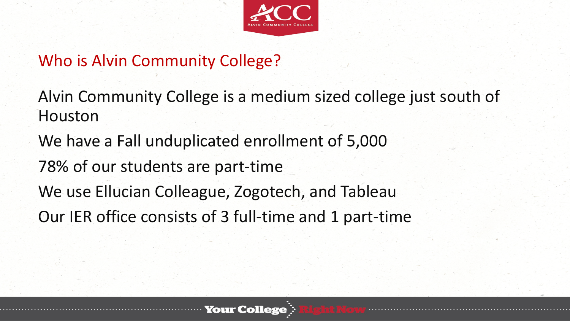

Who is Alvin Community College?

Alvin Community College is a medium sized college just south of Houston

We have a Fall unduplicated enrollment of 5,000

78% of our students are part-time

We use Ellucian Colleague, Zogotech, and Tableau

Our IER office consists of 3 full-time and 1 part-time

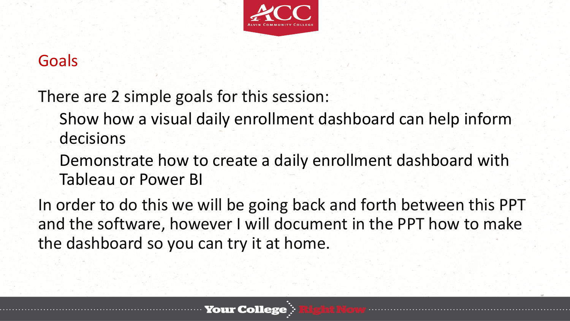

### Goals

There are 2 simple goals for this session:

- Show how a visual daily enrollment dashboard can help inform decisions
- Demonstrate how to create a daily enrollment dashboard with Tableau or Power BI

In order to do this we will be going back and forth between this PPT and the software, however I will document in the PPT how to make the dashboard so you can try it at home.

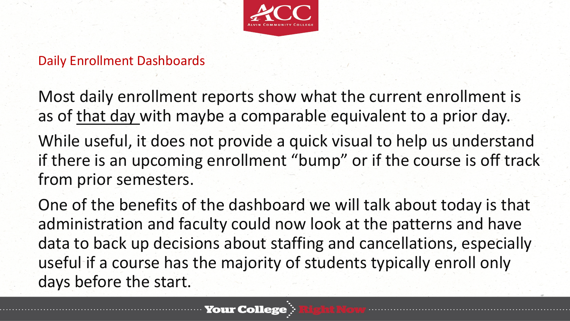

Daily Enrollment Dashboards

Most daily enrollment reports show what the current enrollment is as of that day with maybe a comparable equivalent to a prior day. While useful, it does not provide a quick visual to help us understand if there is an upcoming enrollment "bump" or if the course is off track from prior semesters.

One of the benefits of the dashboard we will talk about today is that administration and faculty could now look at the patterns and have data to back up decisions about staffing and cancellations, especially useful if a course has the majority of students typically enroll only days before the start.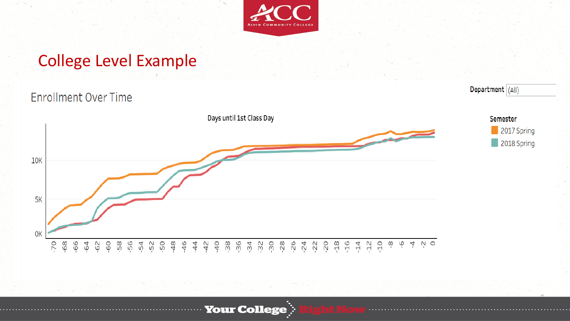

### College Level Example

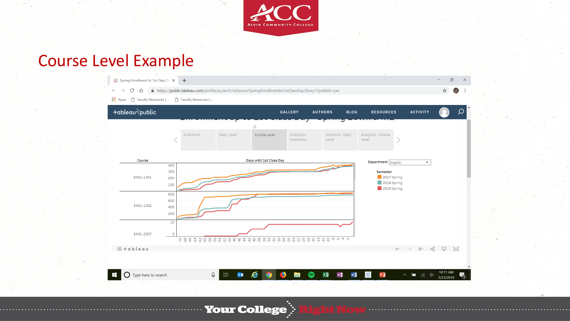

### Course Level Example

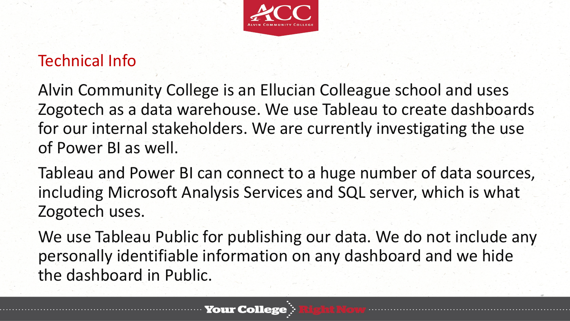

## Technical Info

Alvin Community College is an Ellucian Colleague school and uses Zogotech as a data warehouse. We use Tableau to create dashboards for our internal stakeholders. We are currently investigating the use of Power BI as well.

Tableau and Power BI can connect to a huge number of data sources, including Microsoft Analysis Services and SQL server, which is what Zogotech uses.

We use Tableau Public for publishing our data. We do not include any personally identifiable information on any dashboard and we hide the dashboard in Public.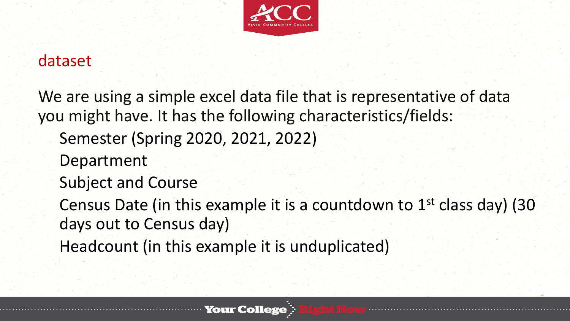

### dataset

We are using a simple excel data file that is representative of data you might have. It has the following characteristics/fields: Semester (Spring 2020, 2021, 2022) Department Subject and Course Census Date (in this example it is a countdown to  $1<sup>st</sup>$  class day) (30 days out to Census day) Headcount (in this example it is unduplicated)

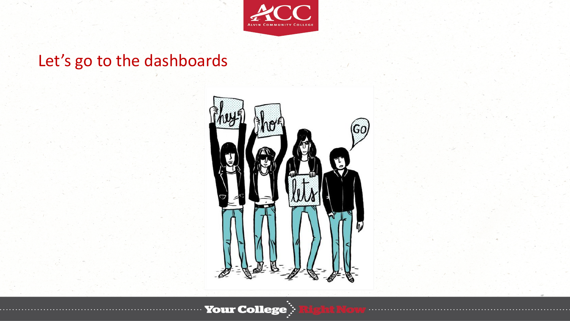

# Let's go to the dashboards

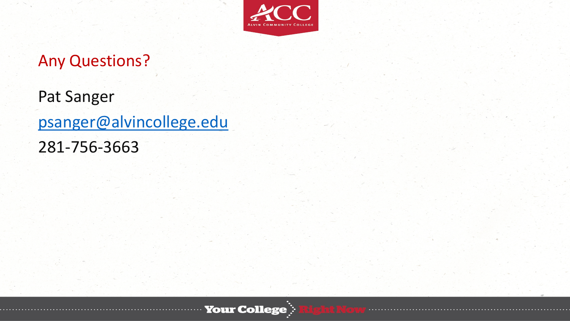

# Any Questions?

Pat Sanger [psanger@alvincollege.edu](mailto:psanger@alvincollege.edu) 281-756-3663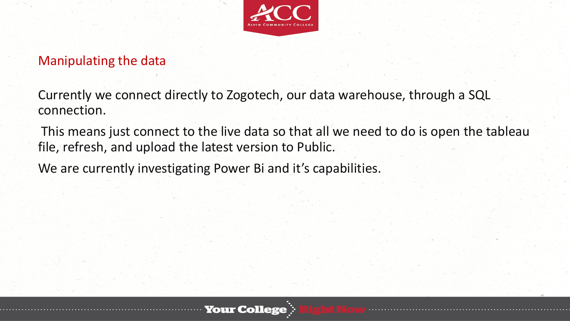

#### Manipulating the data

Currently we connect directly to Zogotech, our data warehouse, through a SQL connection.

This means just connect to the live data so that all we need to do is open the tableau file, refresh, and upload the latest version to Public.

We are currently investigating Power Bi and it's capabilities.

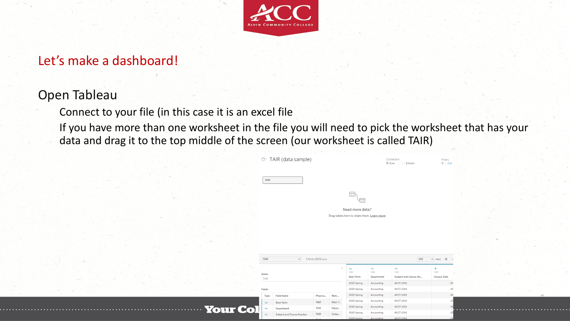

#### Let's make a dashboard!

#### Open Tableau

Connect to your file (in this case it is an excel file

If you have more than one worksheet in the file you will need to pick the worksheet that has your data and drag it to the top middle of the screen (our worksheet is called TAIR)

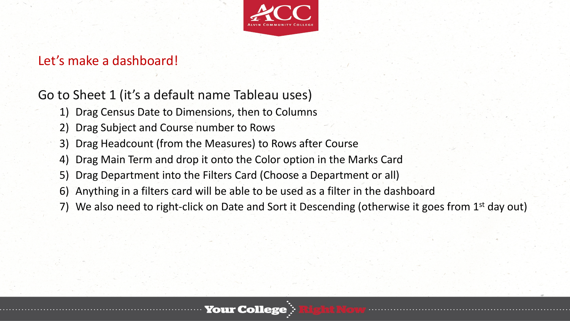

#### Let's make a dashboard!

### Go to Sheet 1 (it's a default name Tableau uses)

- 1) Drag Census Date to Dimensions, then to Columns
- 2) Drag Subject and Course number to Rows
- 3) Drag Headcount (from the Measures) to Rows after Course
- 4) Drag Main Term and drop it onto the Color option in the Marks Card
- 5) Drag Department into the Filters Card (Choose a Department or all)
- 6) Anything in a filters card will be able to be used as a filter in the dashboard
- 7) We also need to right-click on Date and Sort it Descending (otherwise it goes from 1<sup>st</sup> day out)

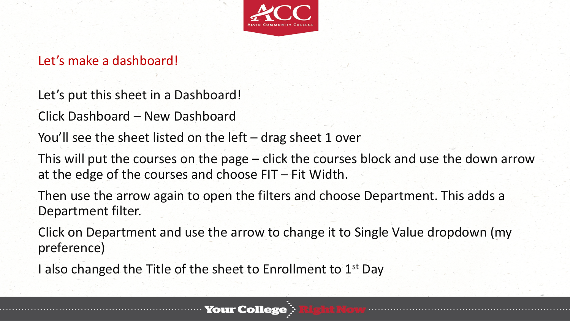

### Let's make a dashboard!

Let's put this sheet in a Dashboard!

Click Dashboard – New Dashboard

You'll see the sheet listed on the left – drag sheet 1 over

This will put the courses on the page – click the courses block and use the down arrow at the edge of the courses and choose FIT – Fit Width.

Then use the arrow again to open the filters and choose Department. This adds a Department filter.

Click on Department and use the arrow to change it to Single Value dropdown (my preference)

I also changed the Title of the sheet to Enrollment to 1<sup>st</sup> Day

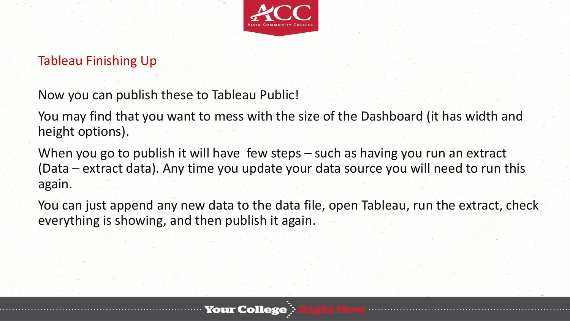

### Tableau Finishing Up

Now you can publish these to Tableau Public!

You may find that you want to mess with the size of the Dashboard (it has width and height options).

When you go to publish it will have few steps – such as having you run an extract (Data – extract data). Any time you update your data source you will need to run this again.

You can just append any new data to the data file, open Tableau, run the extract, check everything is showing, and then publish it again.